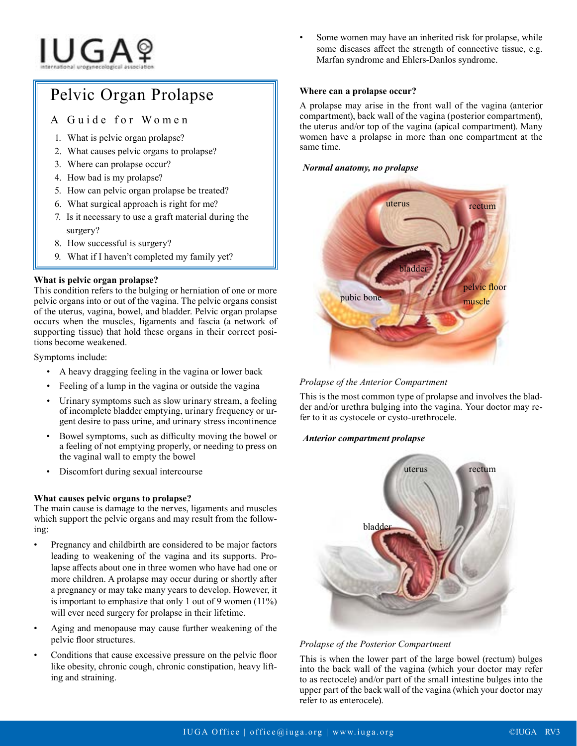# **IUGA**?

## Pelvic Organ Prolapse

### A Guide for Women

- 1. What is pelvic organ prolapse?
- 2. What causes pelvic organs to prolapse?
- 3. Where can prolapse occur?
- 4. How bad is my prolapse?
- 5. How can pelvic organ prolapse be treated?
- 6. What surgical approach is right for me?
- 7. Is it necessary to use a graft material during the surgery?
- 8. How successful is surgery?
- 9. What if I haven't completed my family yet?

#### **What is pelvic organ prolapse?**

This condition refers to the bulging or herniation of one or more pelvic organs into or out of the vagina. The pelvic organs consist of the uterus, vagina, bowel, and bladder. Pelvic organ prolapse occurs when the muscles, ligaments and fascia (a network of supporting tissue) that hold these organs in their correct positions become weakened.

Symptoms include:

- A heavy dragging feeling in the vagina or lower back
- Feeling of a lump in the vagina or outside the vagina
- Urinary symptoms such as slow urinary stream, a feeling of incomplete bladder emptying, urinary frequency or urgent desire to pass urine, and urinary stress incontinence
- Bowel symptoms, such as difficulty moving the bowel or a feeling of not emptying properly, or needing to press on the vaginal wall to empty the bowel
- Discomfort during sexual intercourse

#### **What causes pelvic organs to prolapse?**

The main cause is damage to the nerves, ligaments and muscles which support the pelvic organs and may result from the following:

- Pregnancy and childbirth are considered to be major factors leading to weakening of the vagina and its supports. Prolapse affects about one in three women who have had one or more children. A prolapse may occur during or shortly after a pregnancy or may take many years to develop. However, it is important to emphasize that only 1 out of 9 women (11%) will ever need surgery for prolapse in their lifetime.
- Aging and menopause may cause further weakening of the pelvic floor structures.
- Conditions that cause excessive pressure on the pelvic floor like obesity, chronic cough, chronic constipation, heavy lifting and straining.

Some women may have an inherited risk for prolapse, while some diseases affect the strength of connective tissue, e.g. Marfan syndrome and Ehlers-Danlos syndrome.

#### **Where can a prolapse occur?**

A prolapse may arise in the front wall of the vagina (anterior compartment), back wall of the vagina (posterior compartment), the uterus and/or top of the vagina (apical compartment). Many women have a prolapse in more than one compartment at the same time.

#### *Normal anatomy, no prolapse*



*Prolapse of the Anterior Compartment*

This is the most common type of prolapse and involves the bladder and/or urethra bulging into the vagina. Your doctor may refer to it as cystocele or cysto-urethrocele.

#### *Anterior compartment prolapse*



#### *Prolapse of the Posterior Compartment*

This is when the lower part of the large bowel (rectum) bulges into the back wall of the vagina (which your doctor may refer to as rectocele) and/or part of the small intestine bulges into the upper part of the back wall of the vagina (which your doctor may refer to as enterocele).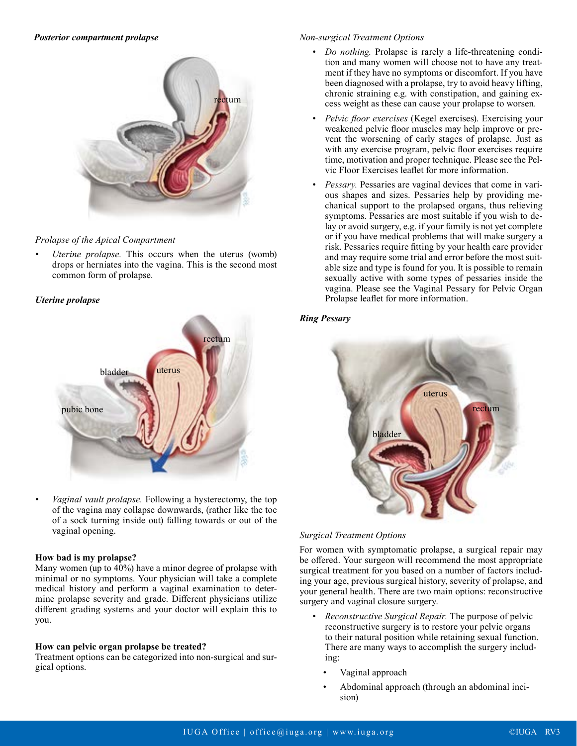

#### *Prolapse of the Apical Compartment*

*• Uterine prolapse.* This occurs when the uterus (womb) drops or herniates into the vagina. This is the second most common form of prolapse.

#### *Uterine prolapse*



*• Vaginal vault prolapse.* Following a hysterectomy, the top of the vagina may collapse downwards, (rather like the toe of a sock turning inside out) falling towards or out of the vaginal opening.

#### **How bad is my prolapse?**

Many women (up to 40%) have a minor degree of prolapse with minimal or no symptoms. Your physician will take a complete medical history and perform a vaginal examination to determine prolapse severity and grade. Different physicians utilize different grading systems and your doctor will explain this to you.

#### **How can pelvic organ prolapse be treated?**

Treatment options can be categorized into non-surgical and surgical options.

#### *Non-surgical Treatment Options*

- *• Do nothing.* Prolapse is rarely a life-threatening condition and many women will choose not to have any treatment if they have no symptoms or discomfort. If you have been diagnosed with a prolapse, try to avoid heavy lifting, chronic straining e.g. with constipation, and gaining excess weight as these can cause your prolapse to worsen*.*
- *• Pelvic floor exercises* (Kegel exercises). Exercising your weakened pelvic floor muscles may help improve or prevent the worsening of early stages of prolapse. Just as with any exercise program, pelvic floor exercises require time, motivation and proper technique. Please see the Pelvic Floor Exercises leaflet for more information.
- *Pessary*. Pessaries are vaginal devices that come in various shapes and sizes. Pessaries help by providing mechanical support to the prolapsed organs, thus relieving symptoms. Pessaries are most suitable if you wish to delay or avoid surgery, e.g. if your family is not yet complete or if you have medical problems that will make surgery a risk. Pessaries require fitting by your health care provider and may require some trial and error before the most suitable size and type is found for you. It is possible to remain sexually active with some types of pessaries inside the vagina. Please see the Vaginal Pessary for Pelvic Organ Prolapse leaflet for more information.

#### *Ring Pessary*



#### *Surgical Treatment Options*

For women with symptomatic prolapse, a surgical repair may be offered. Your surgeon will recommend the most appropriate surgical treatment for you based on a number of factors including your age, previous surgical history, severity of prolapse, and your general health. There are two main options: reconstructive surgery and vaginal closure surgery.

- *• Reconstructive Surgical Repair.* The purpose of pelvic reconstructive surgery is to restore your pelvic organs to their natural position while retaining sexual function. There are many ways to accomplish the surgery including:
	- Vaginal approach
	- Abdominal approach (through an abdominal incision)